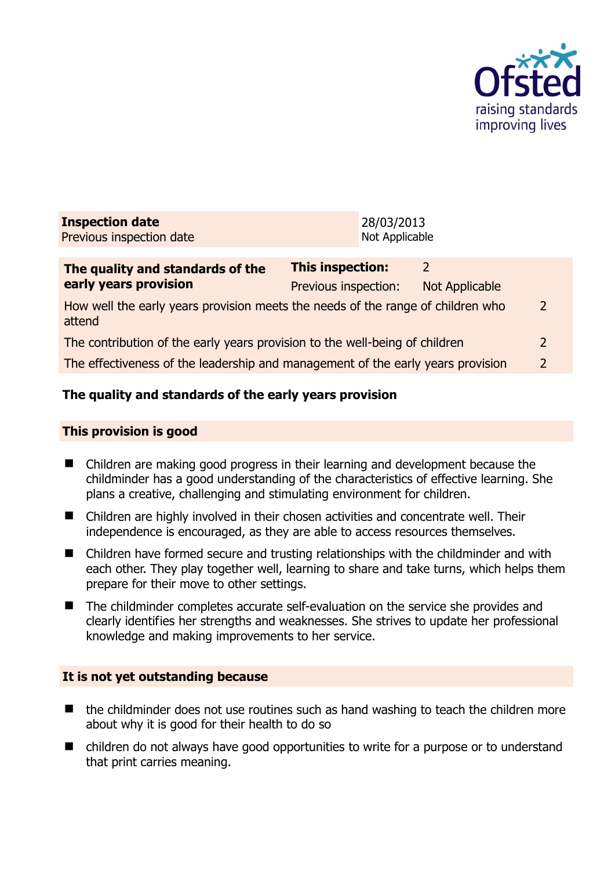

| <b>Inspection date</b>   | 28/03/2013     |
|--------------------------|----------------|
| Previous inspection date | Not Applicable |
|                          |                |

| The quality and standards of the                                                          | <b>This inspection:</b> |                |                |
|-------------------------------------------------------------------------------------------|-------------------------|----------------|----------------|
| early years provision                                                                     | Previous inspection:    | Not Applicable |                |
| How well the early years provision meets the needs of the range of children who<br>attend |                         |                | $\mathcal{L}$  |
| The contribution of the early years provision to the well-being of children               |                         |                | 2              |
| The effectiveness of the leadership and management of the early years provision           |                         |                | $\overline{2}$ |
|                                                                                           |                         |                |                |

## **The quality and standards of the early years provision**

### **This provision is good**

- Children are making good progress in their learning and development because the childminder has a good understanding of the characteristics of effective learning. She plans a creative, challenging and stimulating environment for children.
- Children are highly involved in their chosen activities and concentrate well. Their independence is encouraged, as they are able to access resources themselves.
- Children have formed secure and trusting relationships with the childminder and with each other. They play together well, learning to share and take turns, which helps them prepare for their move to other settings.
- The childminder completes accurate self-evaluation on the service she provides and clearly identifies her strengths and weaknesses. She strives to update her professional knowledge and making improvements to her service.

### **It is not yet outstanding because**

- the childminder does not use routines such as hand washing to teach the children more about why it is good for their health to do so
- children do not always have good opportunities to write for a purpose or to understand that print carries meaning.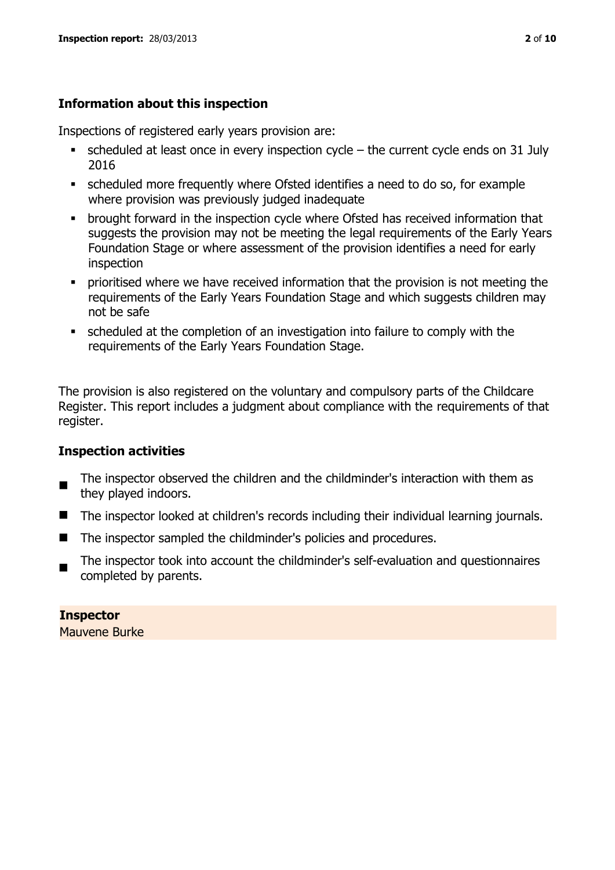## **Information about this inspection**

Inspections of registered early years provision are:

- $\bullet$  scheduled at least once in every inspection cycle the current cycle ends on 31 July 2016
- scheduled more frequently where Ofsted identifies a need to do so, for example where provision was previously judged inadequate
- **•** brought forward in the inspection cycle where Ofsted has received information that suggests the provision may not be meeting the legal requirements of the Early Years Foundation Stage or where assessment of the provision identifies a need for early inspection
- **•** prioritised where we have received information that the provision is not meeting the requirements of the Early Years Foundation Stage and which suggests children may not be safe
- scheduled at the completion of an investigation into failure to comply with the requirements of the Early Years Foundation Stage.

The provision is also registered on the voluntary and compulsory parts of the Childcare Register. This report includes a judgment about compliance with the requirements of that register.

## **Inspection activities**

- п The inspector observed the children and the childminder's interaction with them as they played indoors.
- The inspector looked at children's records including their individual learning journals.
- The inspector sampled the childminder's policies and procedures.
- The inspector took into account the childminder's self-evaluation and questionnaires completed by parents.

**Inspector**  Mauvene Burke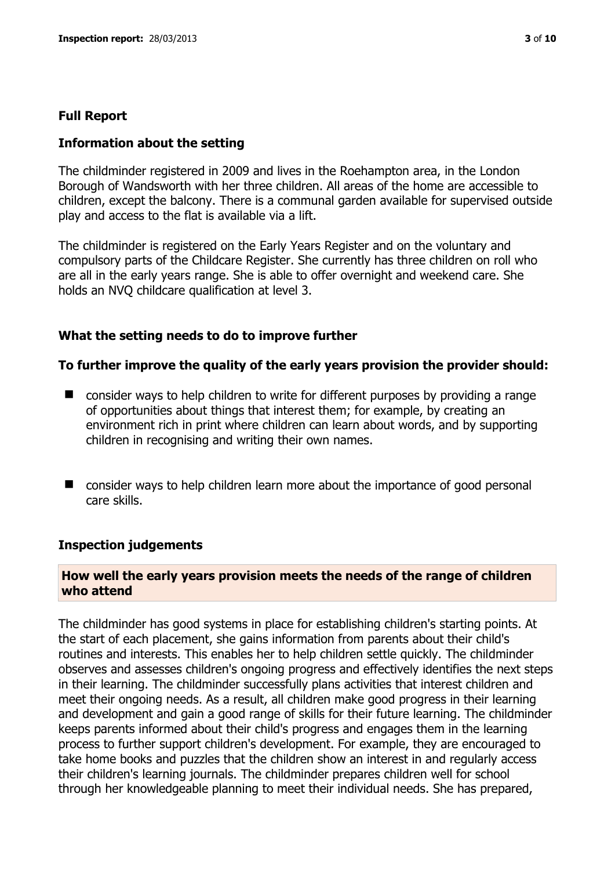### **Full Report**

### **Information about the setting**

The childminder registered in 2009 and lives in the Roehampton area, in the London Borough of Wandsworth with her three children. All areas of the home are accessible to children, except the balcony. There is a communal garden available for supervised outside play and access to the flat is available via a lift.

The childminder is registered on the Early Years Register and on the voluntary and compulsory parts of the Childcare Register. She currently has three children on roll who are all in the early years range. She is able to offer overnight and weekend care. She holds an NVQ childcare qualification at level 3.

### **What the setting needs to do to improve further**

#### **To further improve the quality of the early years provision the provider should:**

- consider ways to help children to write for different purposes by providing a range of opportunities about things that interest them; for example, by creating an environment rich in print where children can learn about words, and by supporting children in recognising and writing their own names.
- consider ways to help children learn more about the importance of good personal care skills.

#### **Inspection judgements**

### **How well the early years provision meets the needs of the range of children who attend**

The childminder has good systems in place for establishing children's starting points. At the start of each placement, she gains information from parents about their child's routines and interests. This enables her to help children settle quickly. The childminder observes and assesses children's ongoing progress and effectively identifies the next steps in their learning. The childminder successfully plans activities that interest children and meet their ongoing needs. As a result, all children make good progress in their learning and development and gain a good range of skills for their future learning. The childminder keeps parents informed about their child's progress and engages them in the learning process to further support children's development. For example, they are encouraged to take home books and puzzles that the children show an interest in and regularly access their children's learning journals. The childminder prepares children well for school through her knowledgeable planning to meet their individual needs. She has prepared,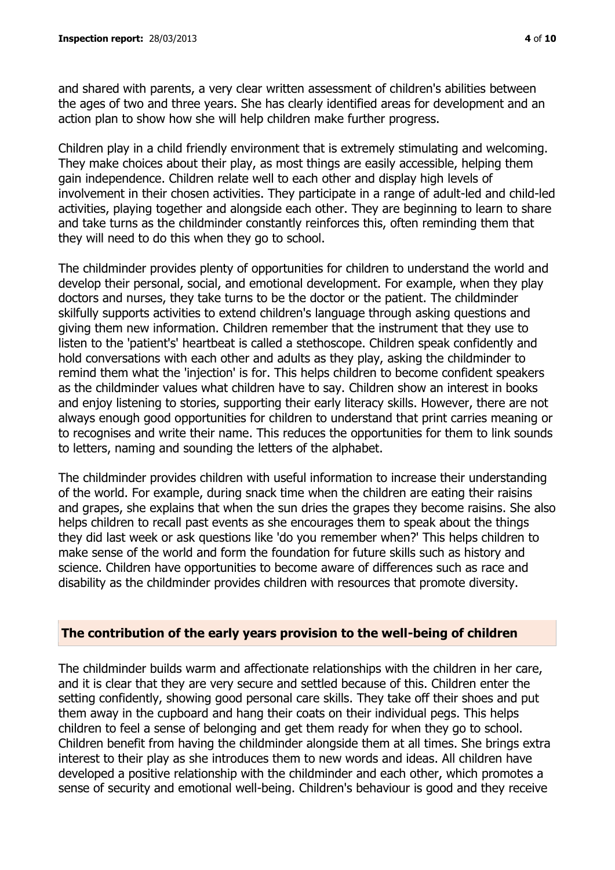and shared with parents, a very clear written assessment of children's abilities between the ages of two and three years. She has clearly identified areas for development and an action plan to show how she will help children make further progress.

Children play in a child friendly environment that is extremely stimulating and welcoming. They make choices about their play, as most things are easily accessible, helping them gain independence. Children relate well to each other and display high levels of involvement in their chosen activities. They participate in a range of adult-led and child-led activities, playing together and alongside each other. They are beginning to learn to share and take turns as the childminder constantly reinforces this, often reminding them that they will need to do this when they go to school.

The childminder provides plenty of opportunities for children to understand the world and develop their personal, social, and emotional development. For example, when they play doctors and nurses, they take turns to be the doctor or the patient. The childminder skilfully supports activities to extend children's language through asking questions and giving them new information. Children remember that the instrument that they use to listen to the 'patient's' heartbeat is called a stethoscope. Children speak confidently and hold conversations with each other and adults as they play, asking the childminder to remind them what the 'injection' is for. This helps children to become confident speakers as the childminder values what children have to say. Children show an interest in books and enjoy listening to stories, supporting their early literacy skills. However, there are not always enough good opportunities for children to understand that print carries meaning or to recognises and write their name. This reduces the opportunities for them to link sounds to letters, naming and sounding the letters of the alphabet.

The childminder provides children with useful information to increase their understanding of the world. For example, during snack time when the children are eating their raisins and grapes, she explains that when the sun dries the grapes they become raisins. She also helps children to recall past events as she encourages them to speak about the things they did last week or ask questions like 'do you remember when?' This helps children to make sense of the world and form the foundation for future skills such as history and science. Children have opportunities to become aware of differences such as race and disability as the childminder provides children with resources that promote diversity.

#### **The contribution of the early years provision to the well-being of children**

The childminder builds warm and affectionate relationships with the children in her care, and it is clear that they are very secure and settled because of this. Children enter the setting confidently, showing good personal care skills. They take off their shoes and put them away in the cupboard and hang their coats on their individual pegs. This helps children to feel a sense of belonging and get them ready for when they go to school. Children benefit from having the childminder alongside them at all times. She brings extra interest to their play as she introduces them to new words and ideas. All children have developed a positive relationship with the childminder and each other, which promotes a sense of security and emotional well-being. Children's behaviour is good and they receive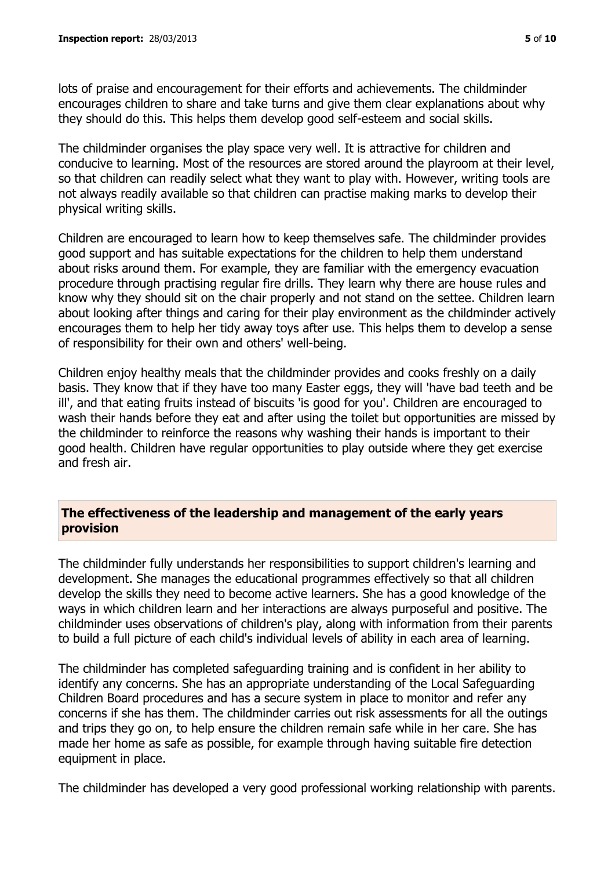lots of praise and encouragement for their efforts and achievements. The childminder encourages children to share and take turns and give them clear explanations about why they should do this. This helps them develop good self-esteem and social skills.

The childminder organises the play space very well. It is attractive for children and conducive to learning. Most of the resources are stored around the playroom at their level, so that children can readily select what they want to play with. However, writing tools are not always readily available so that children can practise making marks to develop their physical writing skills.

Children are encouraged to learn how to keep themselves safe. The childminder provides good support and has suitable expectations for the children to help them understand about risks around them. For example, they are familiar with the emergency evacuation procedure through practising regular fire drills. They learn why there are house rules and know why they should sit on the chair properly and not stand on the settee. Children learn about looking after things and caring for their play environment as the childminder actively encourages them to help her tidy away toys after use. This helps them to develop a sense of responsibility for their own and others' well-being.

Children enjoy healthy meals that the childminder provides and cooks freshly on a daily basis. They know that if they have too many Easter eggs, they will 'have bad teeth and be ill', and that eating fruits instead of biscuits 'is good for you'. Children are encouraged to wash their hands before they eat and after using the toilet but opportunities are missed by the childminder to reinforce the reasons why washing their hands is important to their good health. Children have regular opportunities to play outside where they get exercise and fresh air.

## **The effectiveness of the leadership and management of the early years provision**

The childminder fully understands her responsibilities to support children's learning and development. She manages the educational programmes effectively so that all children develop the skills they need to become active learners. She has a good knowledge of the ways in which children learn and her interactions are always purposeful and positive. The childminder uses observations of children's play, along with information from their parents to build a full picture of each child's individual levels of ability in each area of learning.

The childminder has completed safeguarding training and is confident in her ability to identify any concerns. She has an appropriate understanding of the Local Safeguarding Children Board procedures and has a secure system in place to monitor and refer any concerns if she has them. The childminder carries out risk assessments for all the outings and trips they go on, to help ensure the children remain safe while in her care. She has made her home as safe as possible, for example through having suitable fire detection equipment in place.

The childminder has developed a very good professional working relationship with parents.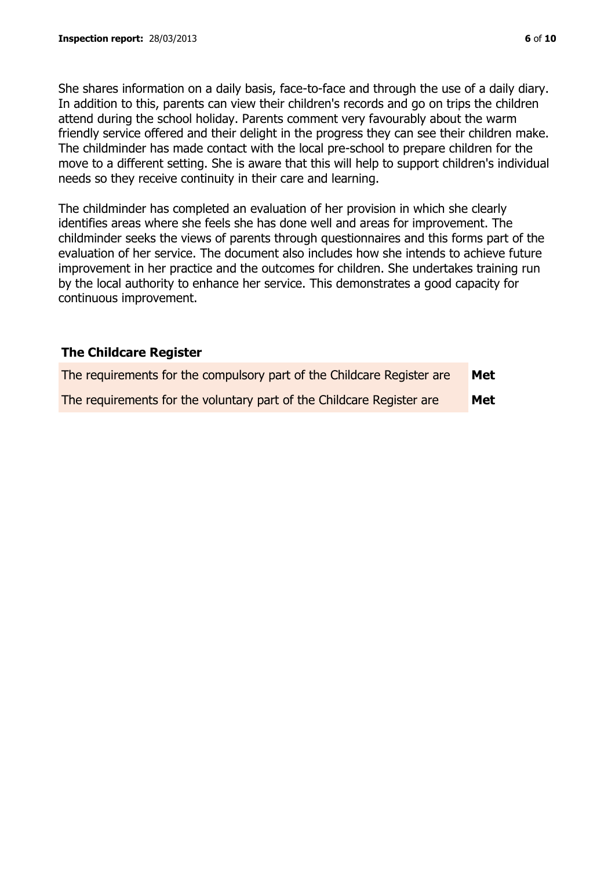She shares information on a daily basis, face-to-face and through the use of a daily diary. In addition to this, parents can view their children's records and go on trips the children attend during the school holiday. Parents comment very favourably about the warm friendly service offered and their delight in the progress they can see their children make. The childminder has made contact with the local pre-school to prepare children for the move to a different setting. She is aware that this will help to support children's individual needs so they receive continuity in their care and learning.

The childminder has completed an evaluation of her provision in which she clearly identifies areas where she feels she has done well and areas for improvement. The childminder seeks the views of parents through questionnaires and this forms part of the evaluation of her service. The document also includes how she intends to achieve future improvement in her practice and the outcomes for children. She undertakes training run by the local authority to enhance her service. This demonstrates a good capacity for continuous improvement.

## **The Childcare Register**

| The requirements for the compulsory part of the Childcare Register are | Met |
|------------------------------------------------------------------------|-----|
| The requirements for the voluntary part of the Childcare Register are  | Met |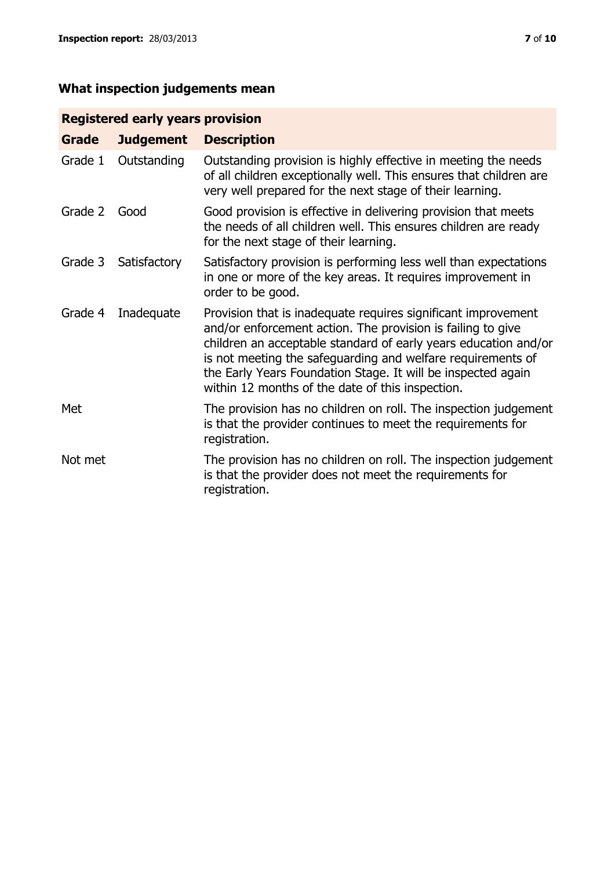## **Registered early years provision**

| Grade   | <b>Judgement</b> | <b>Description</b>                                                                                                                                                                                                                                                                                                                                                                 |
|---------|------------------|------------------------------------------------------------------------------------------------------------------------------------------------------------------------------------------------------------------------------------------------------------------------------------------------------------------------------------------------------------------------------------|
| Grade 1 | Outstanding      | Outstanding provision is highly effective in meeting the needs<br>of all children exceptionally well. This ensures that children are<br>very well prepared for the next stage of their learning.                                                                                                                                                                                   |
| Grade 2 | Good             | Good provision is effective in delivering provision that meets<br>the needs of all children well. This ensures children are ready<br>for the next stage of their learning.                                                                                                                                                                                                         |
| Grade 3 | Satisfactory     | Satisfactory provision is performing less well than expectations<br>in one or more of the key areas. It requires improvement in<br>order to be good.                                                                                                                                                                                                                               |
| Grade 4 | Inadequate       | Provision that is inadequate requires significant improvement<br>and/or enforcement action. The provision is failing to give<br>children an acceptable standard of early years education and/or<br>is not meeting the safeguarding and welfare requirements of<br>the Early Years Foundation Stage. It will be inspected again<br>within 12 months of the date of this inspection. |
| Met     |                  | The provision has no children on roll. The inspection judgement<br>is that the provider continues to meet the requirements for<br>registration.                                                                                                                                                                                                                                    |
| Not met |                  | The provision has no children on roll. The inspection judgement<br>is that the provider does not meet the requirements for<br>registration.                                                                                                                                                                                                                                        |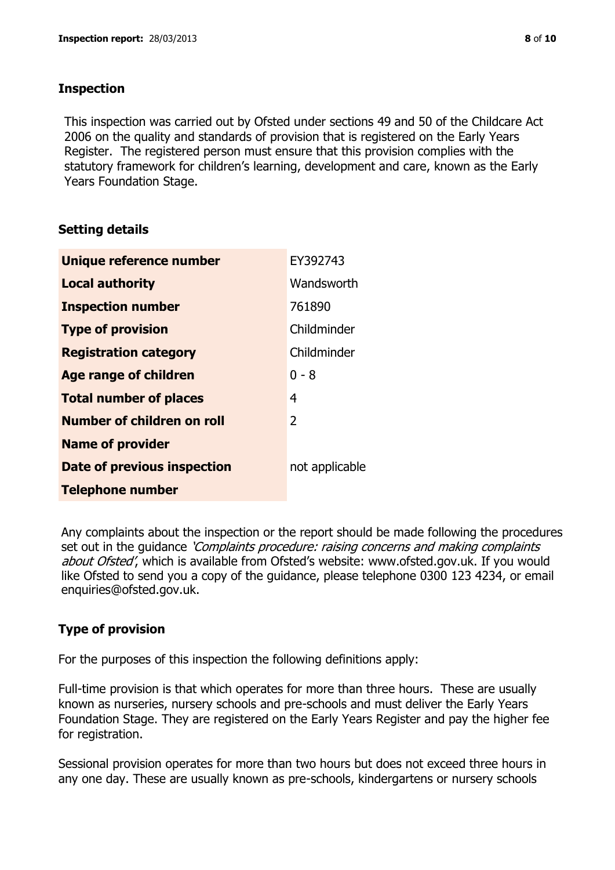### **Inspection**

This inspection was carried out by Ofsted under sections 49 and 50 of the Childcare Act 2006 on the quality and standards of provision that is registered on the Early Years Register. The registered person must ensure that this provision complies with the statutory framework for children's learning, development and care, known as the Early Years Foundation Stage.

## **Setting details**

| Unique reference number       | EY392743       |
|-------------------------------|----------------|
| <b>Local authority</b>        | Wandsworth     |
| <b>Inspection number</b>      | 761890         |
| <b>Type of provision</b>      | Childminder    |
| <b>Registration category</b>  | Childminder    |
| <b>Age range of children</b>  | $0 - 8$        |
| <b>Total number of places</b> | 4              |
| Number of children on roll    | 2              |
| <b>Name of provider</b>       |                |
| Date of previous inspection   | not applicable |
| <b>Telephone number</b>       |                |

Any complaints about the inspection or the report should be made following the procedures set out in the guidance *'Complaints procedure: raising concerns and making complaints* about Ofsted', which is available from Ofsted's website: www.ofsted.gov.uk. If you would like Ofsted to send you a copy of the guidance, please telephone 0300 123 4234, or email enquiries@ofsted.gov.uk.

# **Type of provision**

For the purposes of this inspection the following definitions apply:

Full-time provision is that which operates for more than three hours. These are usually known as nurseries, nursery schools and pre-schools and must deliver the Early Years Foundation Stage. They are registered on the Early Years Register and pay the higher fee for registration.

Sessional provision operates for more than two hours but does not exceed three hours in any one day. These are usually known as pre-schools, kindergartens or nursery schools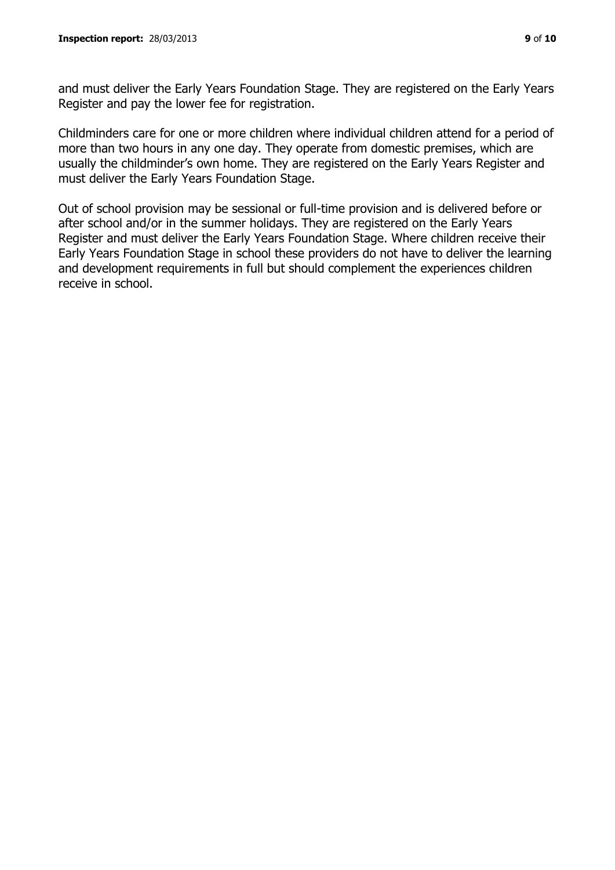and must deliver the Early Years Foundation Stage. They are registered on the Early Years Register and pay the lower fee for registration.

Childminders care for one or more children where individual children attend for a period of more than two hours in any one day. They operate from domestic premises, which are usually the childminder's own home. They are registered on the Early Years Register and must deliver the Early Years Foundation Stage.

Out of school provision may be sessional or full-time provision and is delivered before or after school and/or in the summer holidays. They are registered on the Early Years Register and must deliver the Early Years Foundation Stage. Where children receive their Early Years Foundation Stage in school these providers do not have to deliver the learning and development requirements in full but should complement the experiences children receive in school.